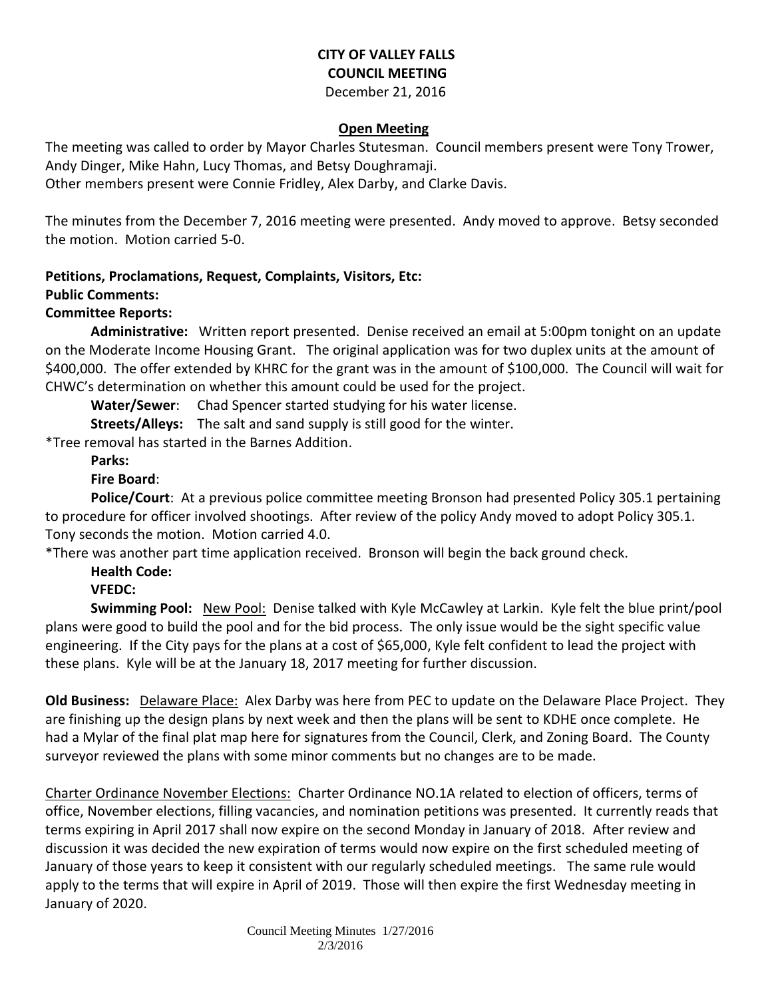# **CITY OF VALLEY FALLS COUNCIL MEETING**

December 21, 2016

# **Open Meeting**

The meeting was called to order by Mayor Charles Stutesman. Council members present were Tony Trower, Andy Dinger, Mike Hahn, Lucy Thomas, and Betsy Doughramaji.

Other members present were Connie Fridley, Alex Darby, and Clarke Davis.

The minutes from the December 7, 2016 meeting were presented. Andy moved to approve. Betsy seconded the motion. Motion carried 5-0.

# **Petitions, Proclamations, Request, Complaints, Visitors, Etc:**

## **Public Comments:**

## **Committee Reports:**

**Administrative:** Written report presented. Denise received an email at 5:00pm tonight on an update on the Moderate Income Housing Grant. The original application was for two duplex units at the amount of \$400,000. The offer extended by KHRC for the grant was in the amount of \$100,000. The Council will wait for CHWC's determination on whether this amount could be used for the project.

**Water/Sewer**: Chad Spencer started studying for his water license.

**Streets/Alleys:** The salt and sand supply is still good for the winter.

\*Tree removal has started in the Barnes Addition.

**Parks:** 

## **Fire Board**:

**Police/Court**: At a previous police committee meeting Bronson had presented Policy 305.1 pertaining to procedure for officer involved shootings. After review of the policy Andy moved to adopt Policy 305.1. Tony seconds the motion. Motion carried 4.0.

\*There was another part time application received. Bronson will begin the back ground check.

#### **Health Code: VFEDC:**

**Swimming Pool:** New Pool: Denise talked with Kyle McCawley at Larkin. Kyle felt the blue print/pool plans were good to build the pool and for the bid process. The only issue would be the sight specific value engineering. If the City pays for the plans at a cost of \$65,000, Kyle felt confident to lead the project with these plans. Kyle will be at the January 18, 2017 meeting for further discussion.

**Old Business:** Delaware Place: Alex Darby was here from PEC to update on the Delaware Place Project. They are finishing up the design plans by next week and then the plans will be sent to KDHE once complete. He had a Mylar of the final plat map here for signatures from the Council, Clerk, and Zoning Board. The County surveyor reviewed the plans with some minor comments but no changes are to be made.

Charter Ordinance November Elections: Charter Ordinance NO.1A related to election of officers, terms of office, November elections, filling vacancies, and nomination petitions was presented. It currently reads that terms expiring in April 2017 shall now expire on the second Monday in January of 2018. After review and discussion it was decided the new expiration of terms would now expire on the first scheduled meeting of January of those years to keep it consistent with our regularly scheduled meetings. The same rule would apply to the terms that will expire in April of 2019. Those will then expire the first Wednesday meeting in January of 2020.